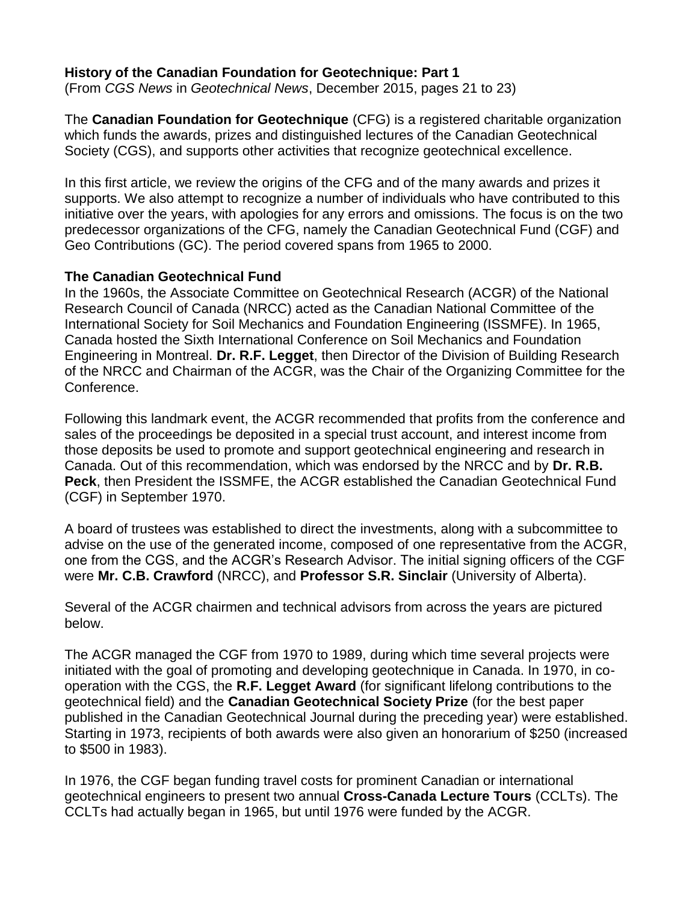### **History of the Canadian Foundation for Geotechnique: Part 1**

(From *CGS News* in *Geotechnical News*, December 2015, pages 21 to 23)

The **Canadian Foundation for Geotechnique** (CFG) is a registered charitable organization which funds the awards, prizes and distinguished lectures of the Canadian Geotechnical Society (CGS), and supports other activities that recognize geotechnical excellence.

In this first article, we review the origins of the CFG and of the many awards and prizes it supports. We also attempt to recognize a number of individuals who have contributed to this initiative over the years, with apologies for any errors and omissions. The focus is on the two predecessor organizations of the CFG, namely the Canadian Geotechnical Fund (CGF) and Geo Contributions (GC). The period covered spans from 1965 to 2000.

## **The Canadian Geotechnical Fund**

In the 1960s, the Associate Committee on Geotechnical Research (ACGR) of the National Research Council of Canada (NRCC) acted as the Canadian National Committee of the International Society for Soil Mechanics and Foundation Engineering (ISSMFE). In 1965, Canada hosted the Sixth International Conference on Soil Mechanics and Foundation Engineering in Montreal. **Dr. R.F. Legget**, then Director of the Division of Building Research of the NRCC and Chairman of the ACGR, was the Chair of the Organizing Committee for the Conference.

Following this landmark event, the ACGR recommended that profits from the conference and sales of the proceedings be deposited in a special trust account, and interest income from those deposits be used to promote and support geotechnical engineering and research in Canada. Out of this recommendation, which was endorsed by the NRCC and by **Dr. R.B. Peck**, then President the ISSMFE, the ACGR established the Canadian Geotechnical Fund (CGF) in September 1970.

A board of trustees was established to direct the investments, along with a subcommittee to advise on the use of the generated income, composed of one representative from the ACGR, one from the CGS, and the ACGR's Research Advisor. The initial signing officers of the CGF were **Mr. C.B. Crawford** (NRCC), and **Professor S.R. Sinclair** (University of Alberta).

Several of the ACGR chairmen and technical advisors from across the years are pictured below.

The ACGR managed the CGF from 1970 to 1989, during which time several projects were initiated with the goal of promoting and developing geotechnique in Canada. In 1970, in cooperation with the CGS, the **R.F. Legget Award** (for significant lifelong contributions to the geotechnical field) and the **Canadian Geotechnical Society Prize** (for the best paper published in the Canadian Geotechnical Journal during the preceding year) were established. Starting in 1973, recipients of both awards were also given an honorarium of \$250 (increased to \$500 in 1983).

In 1976, the CGF began funding travel costs for prominent Canadian or international geotechnical engineers to present two annual **Cross-Canada Lecture Tours** (CCLTs). The CCLTs had actually began in 1965, but until 1976 were funded by the ACGR.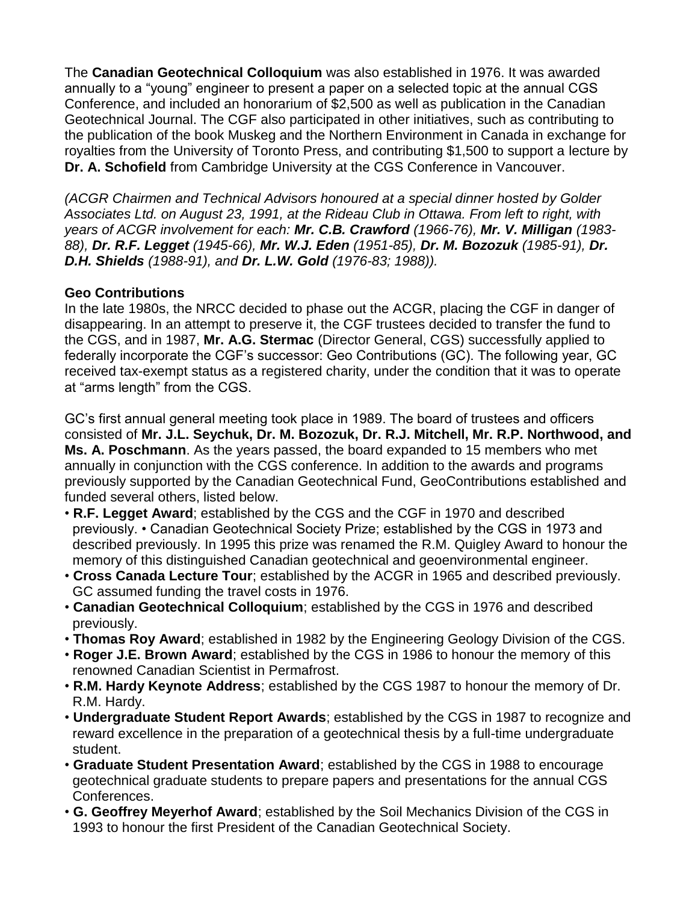The **Canadian Geotechnical Colloquium** was also established in 1976. It was awarded annually to a "young" engineer to present a paper on a selected topic at the annual CGS Conference, and included an honorarium of \$2,500 as well as publication in the Canadian Geotechnical Journal. The CGF also participated in other initiatives, such as contributing to the publication of the book Muskeg and the Northern Environment in Canada in exchange for royalties from the University of Toronto Press, and contributing \$1,500 to support a lecture by **Dr. A. Schofield** from Cambridge University at the CGS Conference in Vancouver.

*(ACGR Chairmen and Technical Advisors honoured at a special dinner hosted by Golder Associates Ltd. on August 23, 1991, at the Rideau Club in Ottawa. From left to right, with years of ACGR involvement for each: Mr. C.B. Crawford (1966-76), Mr. V. Milligan (1983- 88), Dr. R.F. Legget (1945-66), Mr. W.J. Eden (1951-85), Dr. M. Bozozuk (1985-91), Dr. D.H. Shields (1988-91), and Dr. L.W. Gold (1976-83; 1988)).*

## **Geo Contributions**

In the late 1980s, the NRCC decided to phase out the ACGR, placing the CGF in danger of disappearing. In an attempt to preserve it, the CGF trustees decided to transfer the fund to the CGS, and in 1987, **Mr. A.G. Stermac** (Director General, CGS) successfully applied to federally incorporate the CGF's successor: Geo Contributions (GC). The following year, GC received tax-exempt status as a registered charity, under the condition that it was to operate at "arms length" from the CGS.

GC's first annual general meeting took place in 1989. The board of trustees and officers consisted of **Mr. J.L. Seychuk, Dr. M. Bozozuk, Dr. R.J. Mitchell, Mr. R.P. Northwood, and Ms. A. Poschmann**. As the years passed, the board expanded to 15 members who met annually in conjunction with the CGS conference. In addition to the awards and programs previously supported by the Canadian Geotechnical Fund, GeoContributions established and funded several others, listed below.

- **R.F. Legget Award**; established by the CGS and the CGF in 1970 and described previously. • Canadian Geotechnical Society Prize; established by the CGS in 1973 and described previously. In 1995 this prize was renamed the R.M. Quigley Award to honour the memory of this distinguished Canadian geotechnical and geoenvironmental engineer.
- **Cross Canada Lecture Tour**; established by the ACGR in 1965 and described previously. GC assumed funding the travel costs in 1976.
- **Canadian Geotechnical Colloquium**; established by the CGS in 1976 and described previously.
- **Thomas Roy Award**; established in 1982 by the Engineering Geology Division of the CGS.
- **Roger J.E. Brown Award**; established by the CGS in 1986 to honour the memory of this renowned Canadian Scientist in Permafrost.
- **R.M. Hardy Keynote Address**; established by the CGS 1987 to honour the memory of Dr. R.M. Hardy.
- **Undergraduate Student Report Awards**; established by the CGS in 1987 to recognize and reward excellence in the preparation of a geotechnical thesis by a full-time undergraduate student.
- **Graduate Student Presentation Award**; established by the CGS in 1988 to encourage geotechnical graduate students to prepare papers and presentations for the annual CGS Conferences.
- **G. Geoffrey Meyerhof Award**; established by the Soil Mechanics Division of the CGS in 1993 to honour the first President of the Canadian Geotechnical Society.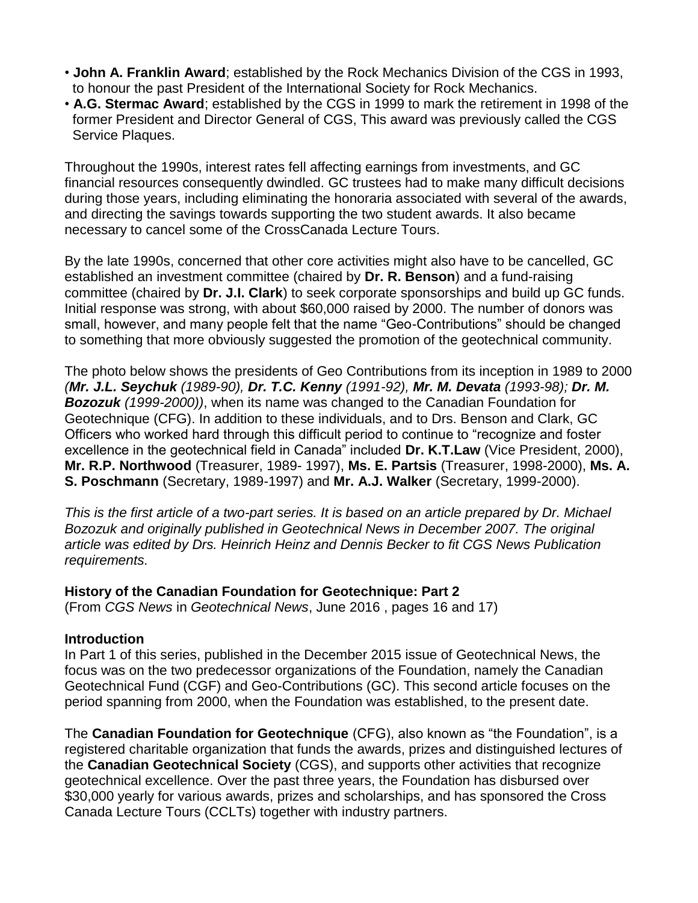- **John A. Franklin Award**; established by the Rock Mechanics Division of the CGS in 1993, to honour the past President of the International Society for Rock Mechanics.
- **A.G. Stermac Award**; established by the CGS in 1999 to mark the retirement in 1998 of the former President and Director General of CGS, This award was previously called the CGS Service Plaques.

Throughout the 1990s, interest rates fell affecting earnings from investments, and GC financial resources consequently dwindled. GC trustees had to make many difficult decisions during those years, including eliminating the honoraria associated with several of the awards, and directing the savings towards supporting the two student awards. It also became necessary to cancel some of the CrossCanada Lecture Tours.

By the late 1990s, concerned that other core activities might also have to be cancelled, GC established an investment committee (chaired by **Dr. R. Benson**) and a fund-raising committee (chaired by **Dr. J.I. Clark**) to seek corporate sponsorships and build up GC funds. Initial response was strong, with about \$60,000 raised by 2000. The number of donors was small, however, and many people felt that the name "Geo-Contributions" should be changed to something that more obviously suggested the promotion of the geotechnical community.

The photo below shows the presidents of Geo Contributions from its inception in 1989 to 2000 *(Mr. J.L. Seychuk (1989-90), Dr. T.C. Kenny (1991-92), Mr. M. Devata (1993-98); Dr. M. Bozozuk (1999-2000))*, when its name was changed to the Canadian Foundation for Geotechnique (CFG). In addition to these individuals, and to Drs. Benson and Clark, GC Officers who worked hard through this difficult period to continue to "recognize and foster excellence in the geotechnical field in Canada" included **Dr. K.T.Law** (Vice President, 2000), **Mr. R.P. Northwood** (Treasurer, 1989- 1997), **Ms. E. Partsis** (Treasurer, 1998-2000), **Ms. A. S. Poschmann** (Secretary, 1989-1997) and **Mr. A.J. Walker** (Secretary, 1999-2000).

*This is the first article of a two-part series. It is based on an article prepared by Dr. Michael Bozozuk and originally published in Geotechnical News in December 2007. The original article was edited by Drs. Heinrich Heinz and Dennis Becker to fit CGS News Publication requirements.*

#### **History of the Canadian Foundation for Geotechnique: Part 2**

(From *CGS News* in *Geotechnical News*, June 2016 , pages 16 and 17)

# **Introduction**

In Part 1 of this series, published in the December 2015 issue of Geotechnical News, the focus was on the two predecessor organizations of the Foundation, namely the Canadian Geotechnical Fund (CGF) and Geo-Contributions (GC). This second article focuses on the period spanning from 2000, when the Foundation was established, to the present date.

The **Canadian Foundation for Geotechnique** (CFG), also known as "the Foundation", is a registered charitable organization that funds the awards, prizes and distinguished lectures of the **Canadian Geotechnical Society** (CGS), and supports other activities that recognize geotechnical excellence. Over the past three years, the Foundation has disbursed over \$30,000 yearly for various awards, prizes and scholarships, and has sponsored the Cross Canada Lecture Tours (CCLTs) together with industry partners.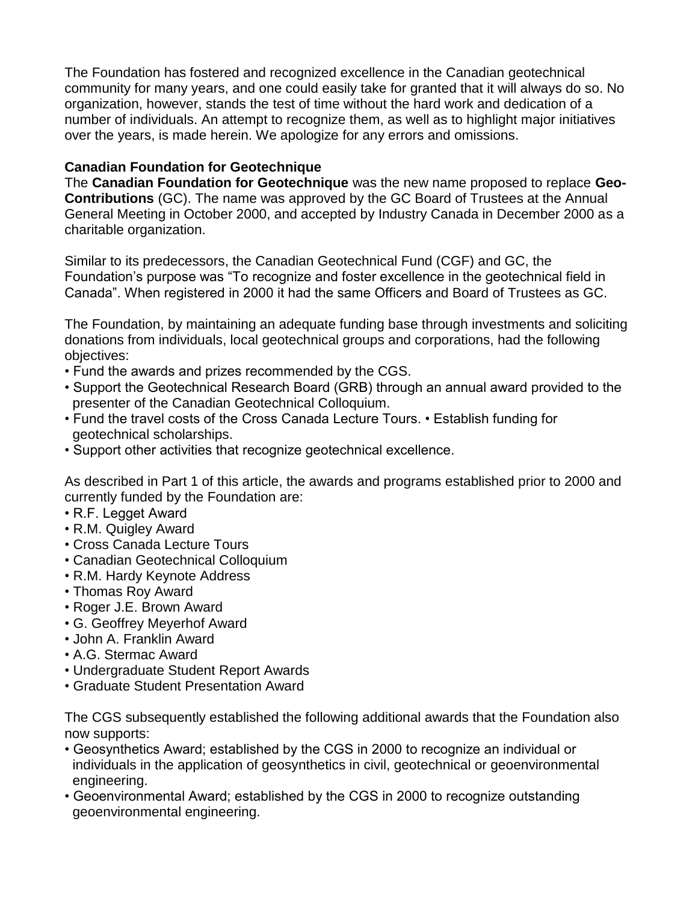The Foundation has fostered and recognized excellence in the Canadian geotechnical community for many years, and one could easily take for granted that it will always do so. No organization, however, stands the test of time without the hard work and dedication of a number of individuals. An attempt to recognize them, as well as to highlight major initiatives over the years, is made herein. We apologize for any errors and omissions.

# **Canadian Foundation for Geotechnique**

The **Canadian Foundation for Geotechnique** was the new name proposed to replace **Geo-Contributions** (GC). The name was approved by the GC Board of Trustees at the Annual General Meeting in October 2000, and accepted by Industry Canada in December 2000 as a charitable organization.

Similar to its predecessors, the Canadian Geotechnical Fund (CGF) and GC, the Foundation's purpose was "To recognize and foster excellence in the geotechnical field in Canada". When registered in 2000 it had the same Officers and Board of Trustees as GC.

The Foundation, by maintaining an adequate funding base through investments and soliciting donations from individuals, local geotechnical groups and corporations, had the following objectives:

- Fund the awards and prizes recommended by the CGS.
- Support the Geotechnical Research Board (GRB) through an annual award provided to the presenter of the Canadian Geotechnical Colloquium.
- Fund the travel costs of the Cross Canada Lecture Tours. Establish funding for geotechnical scholarships.
- Support other activities that recognize geotechnical excellence.

As described in Part 1 of this article, the awards and programs established prior to 2000 and currently funded by the Foundation are:

- R.F. Legget Award
- R.M. Quigley Award
- Cross Canada Lecture Tours
- Canadian Geotechnical Colloquium
- R.M. Hardy Keynote Address
- Thomas Roy Award
- Roger J.E. Brown Award
- G. Geoffrey Meyerhof Award
- John A. Franklin Award
- A.G. Stermac Award
- Undergraduate Student Report Awards
- Graduate Student Presentation Award

The CGS subsequently established the following additional awards that the Foundation also now supports:

- Geosynthetics Award; established by the CGS in 2000 to recognize an individual or individuals in the application of geosynthetics in civil, geotechnical or geoenvironmental engineering.
- Geoenvironmental Award; established by the CGS in 2000 to recognize outstanding geoenvironmental engineering.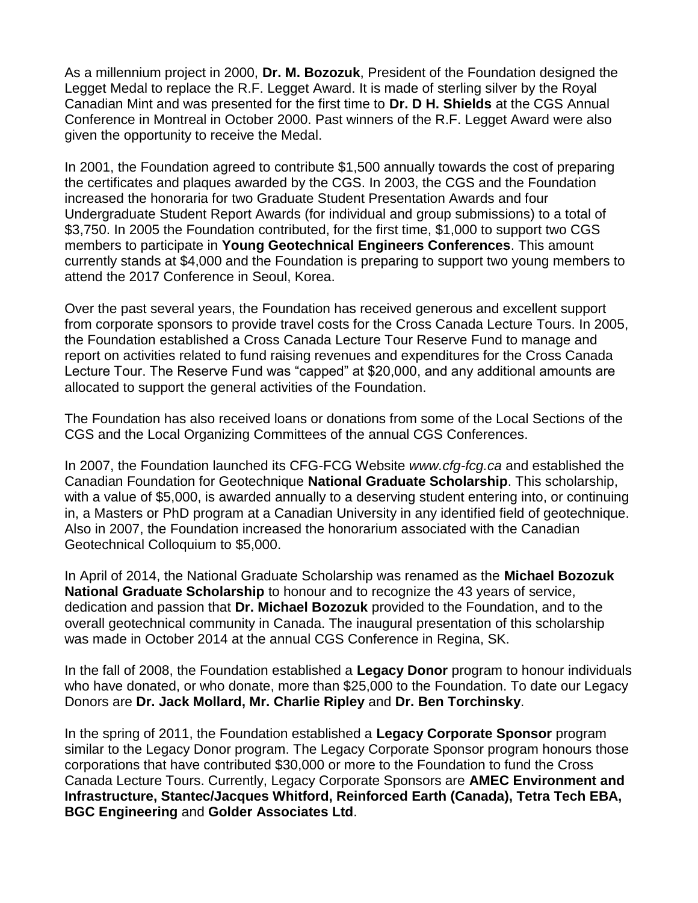As a millennium project in 2000, **Dr. M. Bozozuk**, President of the Foundation designed the Legget Medal to replace the R.F. Legget Award. It is made of sterling silver by the Royal Canadian Mint and was presented for the first time to **Dr. D H. Shields** at the CGS Annual Conference in Montreal in October 2000. Past winners of the R.F. Legget Award were also given the opportunity to receive the Medal.

In 2001, the Foundation agreed to contribute \$1,500 annually towards the cost of preparing the certificates and plaques awarded by the CGS. In 2003, the CGS and the Foundation increased the honoraria for two Graduate Student Presentation Awards and four Undergraduate Student Report Awards (for individual and group submissions) to a total of \$3,750. In 2005 the Foundation contributed, for the first time, \$1,000 to support two CGS members to participate in **Young Geotechnical Engineers Conferences**. This amount currently stands at \$4,000 and the Foundation is preparing to support two young members to attend the 2017 Conference in Seoul, Korea.

Over the past several years, the Foundation has received generous and excellent support from corporate sponsors to provide travel costs for the Cross Canada Lecture Tours. In 2005, the Foundation established a Cross Canada Lecture Tour Reserve Fund to manage and report on activities related to fund raising revenues and expenditures for the Cross Canada Lecture Tour. The Reserve Fund was "capped" at \$20,000, and any additional amounts are allocated to support the general activities of the Foundation.

The Foundation has also received loans or donations from some of the Local Sections of the CGS and the Local Organizing Committees of the annual CGS Conferences.

In 2007, the Foundation launched its CFG-FCG Website *www.cfg-fcg.ca* and established the Canadian Foundation for Geotechnique **National Graduate Scholarship**. This scholarship, with a value of \$5,000, is awarded annually to a deserving student entering into, or continuing in, a Masters or PhD program at a Canadian University in any identified field of geotechnique. Also in 2007, the Foundation increased the honorarium associated with the Canadian Geotechnical Colloquium to \$5,000.

In April of 2014, the National Graduate Scholarship was renamed as the **Michael Bozozuk National Graduate Scholarship** to honour and to recognize the 43 years of service, dedication and passion that **Dr. Michael Bozozuk** provided to the Foundation, and to the overall geotechnical community in Canada. The inaugural presentation of this scholarship was made in October 2014 at the annual CGS Conference in Regina, SK.

In the fall of 2008, the Foundation established a **Legacy Donor** program to honour individuals who have donated, or who donate, more than \$25,000 to the Foundation. To date our Legacy Donors are **Dr. Jack Mollard, Mr. Charlie Ripley** and **Dr. Ben Torchinsky**.

In the spring of 2011, the Foundation established a **Legacy Corporate Sponsor** program similar to the Legacy Donor program. The Legacy Corporate Sponsor program honours those corporations that have contributed \$30,000 or more to the Foundation to fund the Cross Canada Lecture Tours. Currently, Legacy Corporate Sponsors are **AMEC Environment and Infrastructure, Stantec/Jacques Whitford, Reinforced Earth (Canada), Tetra Tech EBA, BGC Engineering** and **Golder Associates Ltd**.